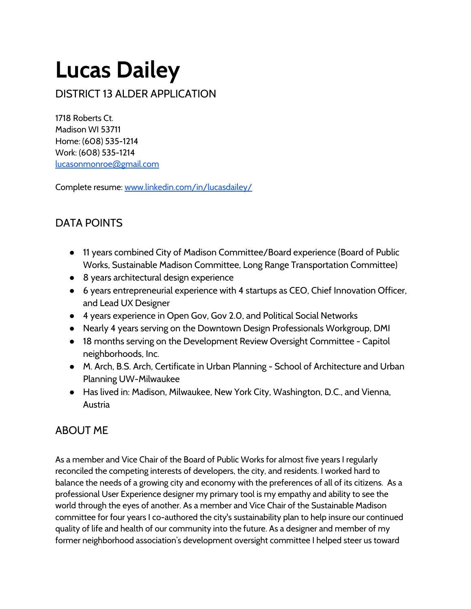# **Lucas Dailey**

DISTRICT 13 ALDER APPLICATION

1718 Roberts Ct. Madison WI 53711 Home: (608) 535-1214 Work: (608) 535-1214 [lucasonmonroe](mailto:lucasonmonroe@gmail.com)[@](mailto:lucasonmonroe@gmail.com)[gmail.com](mailto:lucasonmonroe@gmail.com)

Complete resume: [www.linkedin.com/in/lucasdailey/](http://www.google.com/url?q=http%3A%2F%2Fwww.linkedin.com%2Fin%2Flucasdailey%2F&sa=D&sntz=1&usg=AFQjCNHJiI5iY0b_wwV3UdClMSuOK733kw)

## DATA POINTS

- 11 years combined City of Madison Committee/Board experience (Board of Public Works, Sustainable Madison Committee, Long Range Transportation Committee)
- 8 years architectural design experience
- 6 years entrepreneurial experience with 4 startups as CEO, Chief Innovation Officer, and Lead UX Designer
- 4 years experience in Open Gov, Gov 2.0, and Political Social Networks
- Nearly 4 years serving on the Downtown Design Professionals Workgroup, DMI
- 18 months serving on the Development Review Oversight Committee Capitol neighborhoods, Inc.
- M. Arch, B.S. Arch, Certificate in Urban Planning School of Architecture and Urban Planning UW-Milwaukee
- Has lived in: Madison, Milwaukee, New York City, Washington, D.C., and Vienna, **Austria**

## ABOUT ME

As a member and Vice Chair of the Board of Public Works for almost five years I regularly reconciled the competing interests of developers, the city, and residents. I worked hard to balance the needs of a growing city and economy with the preferences of all of its citizens. As a professional User Experience designer my primary tool is my empathy and ability to see the world through the eyes of another. As a member and Vice Chair of the Sustainable Madison committee for four years I co-authored the city's sustainability plan to help insure our continued quality of life and health of our community into the future. As a designer and member of my former neighborhood association's development oversight committee I helped steer us toward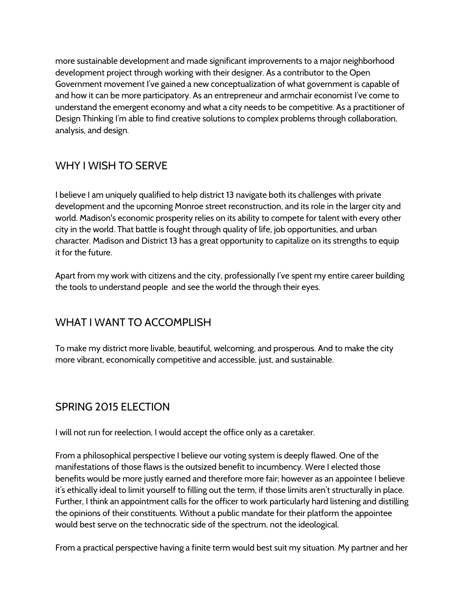more sustainable development and made significant improvements to a major neighborhood development project through working with their designer. As a contributor to the Open Government movement I've gained a new conceptualization of what government is capable of and how it can be more participatory. As an entrepreneur and armchair economist I've come to understand the emergent economy and what a city needs to be competitive. As a practitioner of Design Thinking I'm able to find creative solutions to complex problems through collaboration, analysis, and design.

#### WHY I WISH TO SERVE

I believe I am uniquely qualified to help district 13 navigate both its challenges with private development and the upcoming Monroe street reconstruction, and its role in the larger city and world. Madison's economic prosperity relies on its ability to compete for talent with every other city in the world. That battle is fought through quality of life, job opportunities, and urban character. Madison and District 13 has a great opportunity to capitalize on its strengths to equip it for the future.

Apart from my work with citizens and the city, professionally I've spent my entire career building the tools to understand people and see the world the through their eyes.

## WHAT I WANT TO ACCOMPLISH

To make my district more livable, beautiful, welcoming, and prosperous. And to make the city more vibrant, economically competitive and accessible, just, and sustainable.

## SPRING 2015 ELECTION

I will not run for reelection, I would accept the office only as a caretaker.

From a philosophical perspective I believe our voting system is deeply flawed. One of the manifestations of those flaws is the outsized benefit to incumbency. Were I elected those benefits would be more justly earned and therefore more fair; however as an appointee I believe it's ethically ideal to limit yourself to filling out the term, if those limits aren't structurally in place. Further, I think an appointment calls for the officer to work particularly hard listening and distilling the opinions of their constituents. Without a public mandate for their platform the appointee would best serve on the technocratic side of the spectrum, not the ideological.

From a practical perspective having a finite term would best suit my situation. My partner and her